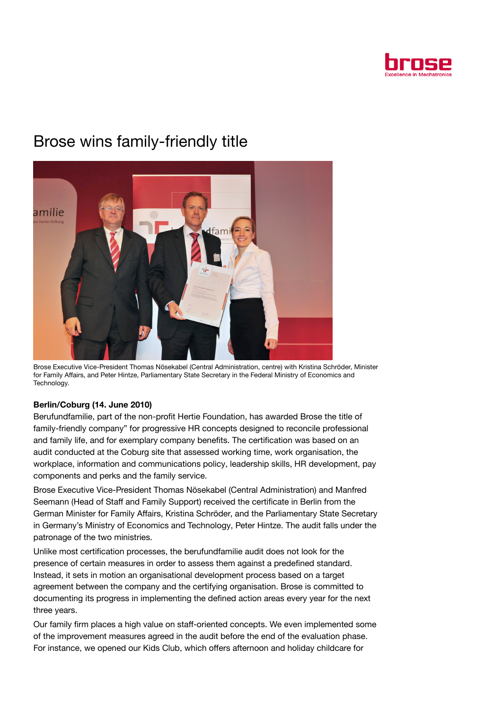

## Brose wins family-friendly title



Brose Executive Vice-President Thomas Nösekabel (Central Administration, centre) with Kristina Schröder, Minister for Family Affairs, and Peter Hintze, Parliamentary State Secretary in the Federal Ministry of Economics and Technology.

## Berlin/Coburg (14. June 2010)

Berufundfamilie, part of the non-profit Hertie Foundation, has awarded Brose the title of family-friendly company" for progressive HR concepts designed to reconcile professional and family life, and for exemplary company benefits. The certification was based on an audit conducted at the Coburg site that assessed working time, work organisation, the workplace, information and communications policy, leadership skills, HR development, pay components and perks and the family service.

Brose Executive Vice-President Thomas Nösekabel (Central Administration) and Manfred Seemann (Head of Staff and Family Support) received the certificate in Berlin from the German Minister for Family Affairs, Kristina Schröder, and the Parliamentary State Secretary in Germany's Ministry of Economics and Technology, Peter Hintze. The audit falls under the patronage of the two ministries.

Unlike most certification processes, the berufundfamilie audit does not look for the presence of certain measures in order to assess them against a predefined standard. Instead, it sets in motion an organisational development process based on a target agreement between the company and the certifying organisation. Brose is committed to documenting its progress in implementing the defined action areas every year for the next three years.

Our family firm places a high value on staff-oriented concepts. We even implemented some of the improvement measures agreed in the audit before the end of the evaluation phase. For instance, we opened our Kids Club, which offers afternoon and holiday childcare for